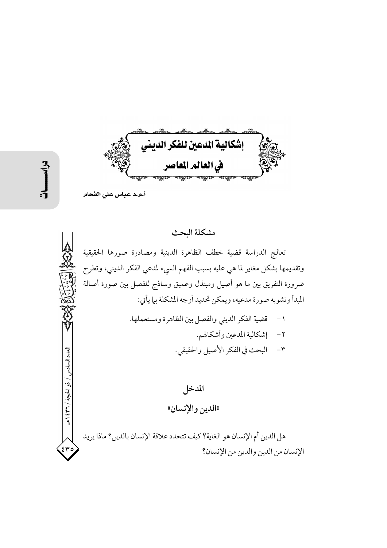إشكالية الدعين للفكر الديني في العالم المعاصر

العدد السادس

/ ذه الحيحة / ٢٣٦ / هـ

أ.و.د عباس على الفحام

## مشكلة البحث

تعالج الدراسة قضية خطف الظاهرة الدينية ومصادرة صورها الحقيقية وتقديمها بشكل مغاير لما هي عليه بسبب الفهم السيء لمدعي الفكر الديني، وتطرح ضرورة التفريق بين ما هو أصيل ومبتذل وعميق وساذج للفصل بين صورة أصالة المبدأ وتشويه صورة مدعيه، ويمكن تحديد أوجه المشكلة بى| يأتي:

| ١- قضية الفكر الديني والفصل بين الظاهرة ومستعملها. |
|----------------------------------------------------|
| ٢- إشكالية المدعين وأشكالهم.                       |
| ٣- البحث في الفكر الأصيل والحقيقي.                 |

المدخل «الدين والإنسان»

هل الدين أم الإنسان هو الغاية؟ كيف تتحدد علاقة الإنسان بالدين؟ ماذا يريد الإنسان من الدين والدين من الإنسان؟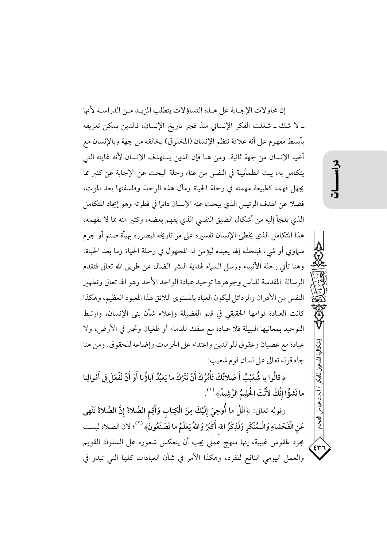إن محاولات الإجبابة على هـذه التساؤلات يتطلب المزيـد مـن الدراسـة لأنها ـ لا شك ـ شغلت الفكر الإنساني منذ فجر تاريخ الإنسان، فالدين يمكن تعريفه بأبسط مفهوم على أنه علاقة تنظم الإنسان (المخلوق) بخالقه من جهة وبالإنسان مع أخيه الإنسان من جهة ثانية. ومن هنا فإن الدين يستهدف الإنسان لأنه غايته التي يتكامل به، يبث الطمأنينة في النفس من عناء رحلة البحث عن الإجابة عن كثير مما يجهل فهمه كطبيعة مهمته في رحلة الحياة ومآل هذه الرحلة وفلسفتها بعد الموت، فضلا عن الهدف الرئيس الذي يبحث عنه الإنسان دائيا في فطرته وهو إيجاد المتكامل الذي يلجأ إليه من أشكال الضيق النفسي الذي يفهم بعضه، وكثير منه مما لا يفهمه، هذا المتكامل الذي يخطئ الإنسان تفسيره على مر تاريخه فيصوره بهيأة صنم أو جرم سماوي أو شيء فيتخذه إلها يعبده ليؤمن له المجهول في رحلة الحياة وما بعد الحياة. وهنا تأتى رحلة الأنبياء ورسل السهاء لهداية البشر الضال عن طريق الله تعالى فتقدم الرسالة المقدسة للناس وجوهرها توحيد عبادة الواحد الأحد وهو الله تعالى وتطهير النفس من الأدران والرذائل ليكون العباد بالمستوى اللائق لهذا المعبود العظيم، وهكذا كانت العبادة قوامها الحقيقي في قيم الفضيلة وإعلاء شأن بني الإنسان، وارتبط التوحيد بمعانيها النبيلة فلا عبادة مع سفك للدماء أو طغيان وتجبر في الأرض، ولا عبادة مع عصيان وعقوق للوالدين واعتداء على الحرمات وإضاعة للحقوق. ومن هنا جاء قوله تعالى على لسان قوم شعيب:

﴿ قَالُوا يا شُعَيْبُ أَ صَلاتُكَ تَأْمُرُكَ أَنْ نَتْرُكَ ما يَعْبُدُ آباؤُنا أَوْ أَنْ نَفْعَلَ فِي أَمْوالِنا ما نَشؤُا إِنَّكَ لأَنْتَ الْحَلِيمُ الرَّشِيدُ﴾ (``.

وقوله تعالى: ﴿اتْلُ ما أُوحِيَ إِلَيْكَ مِنَ الْكِتابِ وَأَقِم الصَّلاةَ إِنَّ الصَّلاةَ تَنْهى عَنِ الْفَحْشاءِ وَالْـمُنْكَرِ وَلَذِكْرُ الله أَكْبَرُ وَاللهُ يَعْلَمُ ما تَصْنَعُونَ﴾ (٢)؛ لأن الصلاة ليست مجرد طقوس غيبية، إنها منهج عملي يجب أن ينعكس شعوره على السلوك القويم والعمل اليومي النافع للفرد، وهكذا الأمر في شأن العبادات كلها التي تبدو في

إشكالية المدعين للفكم

/ أ.م.د عباس

رآقسكم

`٤٣)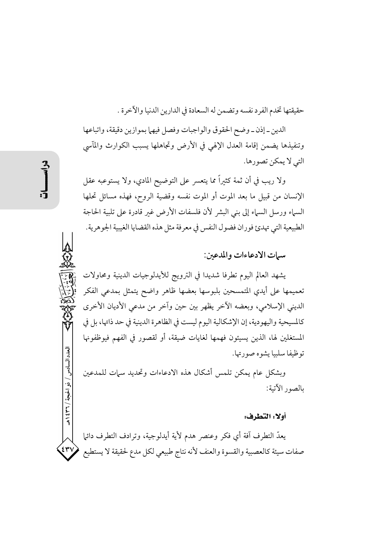حقيقتها تخدم الفرد نفسه وتضمن له السعادة في الدارين الدنيا والآخرة .

الدين\_إذن\_وضح الحقوق والواجبات وفصل فيهما بموازين دقيقة، واتباعها وتنفيذها يضمن إقامة العدل الإلهي في الأرض وتجاهلها يسبب الكوارث والمآسى التي لا يمكن تصورها.

ولا ريب في أن ثمة كثيراً مما يتعسر على التوضيح المادي، ولا يستوعبه عقل الإنسان من قبيل ما بعد الموت أو الموت نفسه وقضية الروح، فهذه مسائل تحلها السباء ورسل السباء إلى بني البشر لأن فلسفات الأرض غبر قادرة على تلبية الحاجة الطبيعية التي تهدئ فوران فضول النفس في معرفة مثل هذه القضايا الغيبية الجوهرية.

سيات الإدعاءات والمدعين:

يشهد العالم اليوم تطرفا شديدا في الترويج للأيدلوجيات الدينية ومحاولات تعميمها على أيدى المتمسحين بلبوسها بعضها ظاهر واضح يتمثل بمدعى الفكر الديني الإسلامي، وبعضه الآخر يظهر بين حين وآخر من مدعى الأديان الأخرى كالمسيحية واليهودية، إن الإشكالية اليوم ليست في الظاهرة الدينية في حد ذاتها، بل في المستغلين لها، الذين يسيئون فهمها لغايات ضيقة، أو لقصور في الفهم فيوظفونها توظيفا سلبيا يشوه صورتها.

وبشكل عام يمكن تلمس أشكال هذه الادعاءات وتحديد سمات للمدعين بالصور الآتية:

#### أولا: التطرف:

يعدُّ التطرف آفة أي فكر وعنصر هدم لأية أيدلوجية، وترادف التطرف دائلم صفات سيئة كالعصبية والقسوة والعنف لأنه نتاج طبيعي لكل مدع لحقيقة لا يستطيع

العدد السادس / ذو الحجة / ٣٦٦ هـ

٤٣١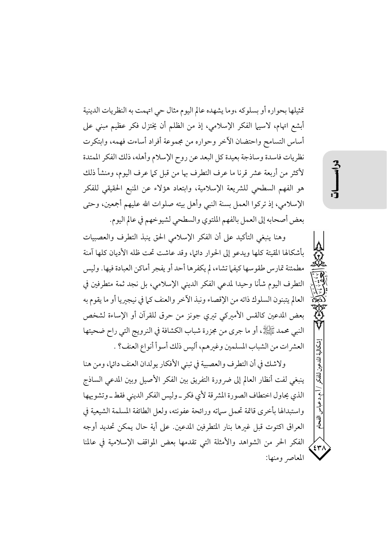تمثيلها بحواره أو بسلوكه ،وما يشهده عالم اليوم مثال حي اتهمت به النظريات الدينية أبشع اتهام، لاسيها الفكر الإسلامي، إذ من الظلم أن يختزل فكر عظيم مبنى على أساس التسامح واحتضان الآخر وحواره من مجموعة أفراد أساءت فهمه، وابتكرت نظريات فاسدة وساذجة بعيدة كل البعد عن روح الإسلام وأهله، ذلك الفكر الممتدة لأكثر من أربعة عشر قرنا ما عرف التطرف بها من قبل كما عرف اليوم، ومنشأ ذلك هو الفهم السطحي للشريعة الإسلامية، وابتعاد هؤلاء عن المنبع الحقيقي للفكر الإسلامي، إذ تركوا العمل بسنة النبي وأهل بيته صلوات الله عليهم أجمعين، وحتى بعض أصحابه إلى العمل بالفهم الملتوي والسطحي لشيوخهم في عالم اليوم.

وهنا ينبغي التأكيد على أن الفكر الإسلامي الحق ينبذ التطرف والعصبيات بأشكالها المقيتة كلها ويدعو إلى الحوار دائيه، وقد عاشت تحت ظله الأديان كلها آمنة مطمئنة تمارس طقوسها كيفها تشاء، لم يكفرها أحد أو يفجر أماكن العبادة فيها. وليس التطرف اليوم شأنا وحيدا لمدعي الفكر الديني الإسلامي، بل نجد ثمة متطرفين في العالم يتبنون السلوك ذاته من الإقصاء ونبذ الآخر والعنف كما في نيجيريا أو ما يقوم به بعض المدعين كالقس الأميركي تيري جونز من حرق للقرآن أو الإساءة لشخص النبي محمد ﷺ، أو ما جرى من مجزرة شباب الكشافة في النرويج التي راح ضحيتها العشر ات من الشباب المسلمين وغيرهم، أليس ذلك أسوأ أنواع العنف؟ .

ولاشك في أن التطرف والعصبية في تبني الأفكار يولدان العنف دائها، ومن هنا ينبغي لفت أنظار العالم إلى ضرورة التفريق بين الفكر الأصيل وبين المدعى الساذج الذي يحاول اختطاف الصورة المشرقة لأي فكر \_وليس الفكر الديني فقط \_وتشويهها واستبدالها بأخرى قاتمة تحمل سماته ورائحة عفونته، ولعل الطائفة المسلمة الشيعية في العراق اكتوت قبل غيرها بنار المتطرفين المدعين. على أية حال يمكن تحديد أوجه الفكر الحر من الشواهد والأمثلة التي تقدمها بعض المواقف الإسلامية في عالمنا المعاصر ومنها: شكالة المدعن

 $\overline{3}$ 

 $\mathfrak{z}_{\mathfrak{r}}$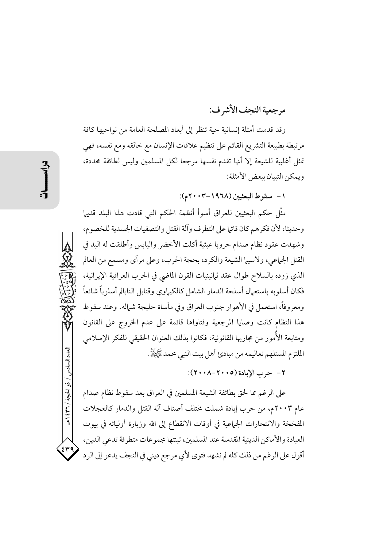# مرجعية النجف الأشرف:

وقد قدمت أمثلة إنسانية حية تنظر إلى أبعاد المصلحة العامة من نواحيها كافة مرتبطة بطبيعة التشريع القائم على تنظيم علاقات الإنسان مع خالقه ومع نفسه، فهي تمثل أغلبية للشيعة إلا أنها تقدم نفسها مرجعا لكل المسلمين وليس لطائفة محددة، ويمكن التبيان ببعض الأمثلة:

١ - سقوط البعثيين (١٩٦٨-٢٠٠٣م):

مثَّل حكم البعثيين للعراق أسوأ أنظمة الحكم التي قادت هذا البلد قديها وحديثا، لأن فكرهم كان قائها على التطرف وآلة القتل والتصفيات الجسدية للخصوم، وشهدت عقود نظام صدام حروبا عبثية أكلت الأخضر واليابس وأطلقت له اليد في القتل الجماعي، ولاسبيما الشيعة والكرد، بحجة الحرب، وعلى مرآى ومسمع من العالم الذي زوده بالسلاح طوال عقد ثمانينيات القرن الماضي في الحرب العراقية الإيرانية، فكان أسلوبه باستعمال أسلحة الدمار الشامل كالكيهاوي وقنابل النابالم أسلوباً شائعاً ومعروفاً، استعمل في الأهوار جنوب العراق وفي مأساة حلبجة شيماله. وعند سقوط هذا النظام كانت وصايا المرجعية وفتاواها قائمة على عدم الخروج على القانون ومتابعة الأُمور من مجاريها القانونية، فكانوا بذلك العنوان الحقيقي للفكر الإسلامي الملتزم المستلهم تعاليمه من مبادئ أهل بيت النبي محمد ﷺ.

٢- حرب الإبادة (٢٠٠٥-٢٠٠٨):

على الرغم مما لحق بطائفة الشيعة المسلمين في العراق بعد سقوط نظام صدام عام ٢٠٠٣م، من حرب إبادة شملت مختلف أصناف آلة القتل والدمار كالعجلات المُفخخة والانتحارات الجماعية في أوقات الانقطاع إلى الله وزيارة أوليائه في بيوت العبادة والأماكن الدينية المقدسة عند المسلمين، تبنتها مجموعات متطرفة تدعى الدين، أقول على الرغم من ذلك كله لم نشهد فتوى لأي مرجع ديني في النجف يدعو إلى الرد

العدد السادس / ذو الحيجة / ٣٦ / ٤٣٩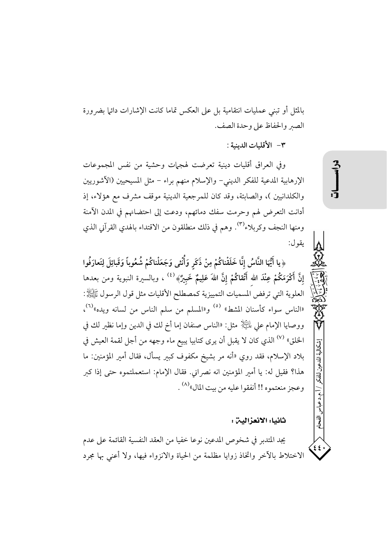بالمثل أو تبنى عمليات انتقامية بل على العكس تماما كانت الإشارات دائيا بضرورة الصير والحفاظ على وحدة الصف.

٣- الأقليات الدينية :

وفي العراق أقليات دينية تعرضت لهجهات وحشية من نفس المجموعات الإرهابية المدعية للفكر الديني- والإسلام منهم براء – مثل المسيحيين (الآشوريين والكلدانيين )، والصابئة، وقد كان للمرجعية الدينية موقف مشرف مع هؤلاء، إذ أدانت التعرض لهم وحرمت سفك دمائهم، ودعت إلى احتضانهم في المدن الآمنة ومنها النجف وكربلاء<sup>(٣)</sup>. وهم في ذلك منطلقون من الاقتداء بالهدى القرآني الذي يقول:

﴿يا أَيُّهَا النَّاسُ إِنَّا خَلَقْناكُمْ مِنْ ذَكَرٍ وَأُنْثى وَجَعَلْناكُمْ شُعُوباً وَقَبائِلَ لِتَعارَفُوا إنَّ أَكْرَمَكُمْ عِنْدَ الله أَتْقاكُمْ إِنَّ اللهَ عَلِيمٌ خَبِيرٌ﴾  $^{(3)}$  ، وبالسيرة النبوية ومن بعدها العلوية التي ترفض المسميات التمييزية كمصطلح الأقليات مثل قول الرسول ﷺ: «الناس سواء كأسنان المشط» <sup>(٥)</sup> و«المسلم من سلم الناس من لسانه ويده»<sup>(٦)</sup>، ووصايا الإمام على لِمَائِيَا۞ مثل: «الناس صنفان إما أخ لك في الدين وإما نظير لك في الخلق» <sup>(٧)</sup> الذي كان لا يقبل أن يرى كتابيا يبيع ماء وجهه من أجل لقمة العيش في بلاد الإسلام، فقد روي «أنه مر بشيخ مكفوف كبير يسأل، فقال أمير المؤمنين: ما هذا؟ فقيل له: يا أمير المؤمنين انه نصراني. فقال الإمام: استعملتموه حتى إذا كبر وعجز منعتموه !! أنفقوا عليه من بيت المال»<sup>(٨)</sup> .

### ثانيا: الانعزالين :

يجد المتدبر في شخوص المدعين نوعا خفيا من العقد النفسية القائمة على عدم الاختلاط بالآخر واتخاذ زوايا مظلمة من الحياة والانزواء فيها، ولا أعنى بها مجرد

أشكالية المدعين للفكم

ا .م.د عباس

اقدم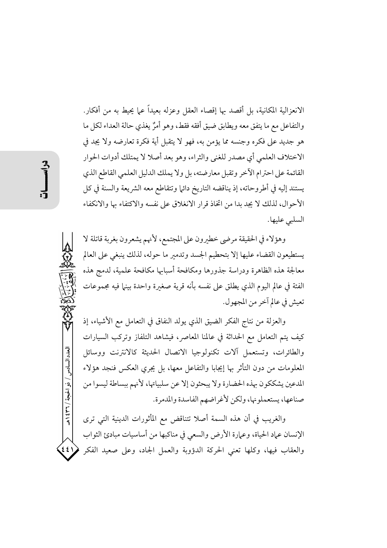الانعزالية المكانية، بل أقصد بها إقصاء العقل وعزله بعيداً على يحيط به من أفكار. والتفاعل مع ما يتفق معه ويطابق ضيق أفقه فقط، وهو أمرٌ يغذي حالة العداء لكل ما هو جديد على فكره وجنسه مما يؤمن به، فهو لا يتقبل أية فكرة تعارضه ولا يجد في الاختلاف العلمي أي مصدر للغني والثراء، وهو بعد أصلا لا يمتلك أدوات الحوار القائمة على احترام الآخر وتقبل معارضته، بل ولا يملك الدليل العلمي القاطع الذي يستند إليه في أطروحاته، إذ يناقضه التاريخ دائي| وتتقاطع معه الشريعة والسنة في كل الأحوال، لذلك لا يجد بدا من اتخاذ قرار الانغلاق على نفسه والاكتفاء بها والانكفاء السلبي عليها.

وهؤلاء في الحقيقة مرضى خطيرون على المجتمع، لأنهم يشعرون بغربة قاتلة لا يستطيعون القضاء عليها إلا بتحطيم الجسد وتدمير ما حوله، لذلك ينبغي على العالم معالجة هذه الظاهرة ودراسة جذورها ومكافحة أسبابها مكافحة علمية، لدمج هذه الفئة في عالم اليوم الذي يطلق على نفسه بأنه قرية صغيرة واحدة بينها فيه مجموعات تعيش في عالم آخر من المجهول.

والعزلة من نتاج الفكر الضيق الذي يولد النفاق في التعامل مع الأشياء، إذ كيف يتم التعامل مع الحداثة في عالمنا المعاصر، فيشاهد التلفاز وتركب السيارات والطائرات، وتستعمل آلات تكنولوجيا الاتصال الحديثة كالانترنت ووسائل المعلومات من دون التأثر بها إيجابا والتفاعل معها، بل يجرى العكس فنجد هؤلاء المدعين يشككون بهذه الحضارة ولا يبحثون إلا عن سلبياتها، لأنهم ببساطة ليسوا من صناعها، يستعملونها، ولكن لأغراضهم الفاسدة والمدمرة.

والغريب في أن هذه السمة أصلا تتناقض مع المأثورات الدينية التي ترى الإنسان عماد الحياة، وعمارة الأرض والسعى في مناكبها من أساسيات مبادئ الثواب والعقاب فيها، وكلها تعني الحركة الدؤوبة والعمل الجاد، وعلى صعيد الفكر  $551$ 

العدد السادس / ذو الحجة / ٣٦٦ / ه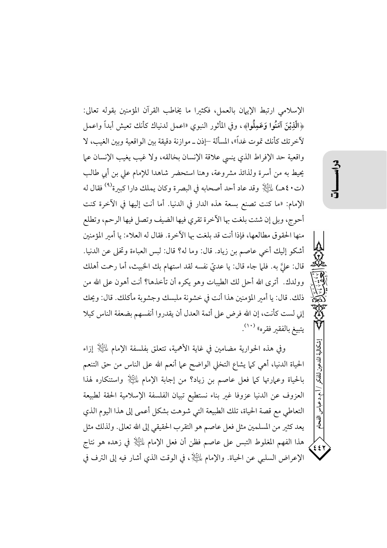الإسلامي ارتبط الإيهان بالعمل، فكثيرا ما يخاطب القرآن المؤمنين بقوله تعالى: ﴿الَّذِيْنَ آمَنُوا وَعَمِلُوا﴾، وفي المأثور النبوي «اعمل لدنياك كأنك تعيش أبداً واعمل لآخرتك كأنك تموت غداً»، المسألة –إذن ــ موازنة دقيقة بين الواقعية وبين الغيب، لا واقعية حد الإفراط الذي ينسي علاقة الإنسان بخالقه، ولا غيب يغيب الإنسان عما يحيط به من أسرة ولذائذ مشروعة، وهنا استحضر شاهدا للإمام على بن أبي طالب (ت ٤٠هـ) لِمَائِلِكَ وقد عاد أحد أصحابه في البصرة وكان يملك دارا كبيرة<sup>(٩)</sup> فقال له الإمام: «ما كنت تصنع بسعة هذه الدار في الدنيا. أما أنت إليها في الآخرة كنت أحوج، وبلي إن شئت بلغت بها الآخرة تقرى فيها الضيف وتصل فيها الرحم، وتطلع منها الحقوق مطالعها، فإذا أنت قد بلغت بها الآخرة. فقال له العلاء: يا أمير المؤمنين أشكو إليك أخي عاصم بن زياد. قال: وما له؟ قال: لبس العباءة وتخلى عن الدنيا. قال: عليَّ به. فلما جاء قال: يا عديٌّ نفسه لقد استهام بك الخبيث، أما رحمت أهلك وولدك. أترى الله أحل لك الطيبات وهو يكره أن تأخذها؟ أنت أهون على الله من ذلك. قال: يا أمير المؤمنين هذا أنت في خشونة ملبسك وجشوبة مأكلك. قال: ويحك إني لست كأنت، إن الله فرض على أئمة العدل أن يقدروا أنفسهم بضعفة الناس كيلا يتبيغ بالفقبر فقره» (١٠).

وفي هذه الحوارية مضامين في غاية الأهمية، تتعلق بفلسفة الإمام لِلتِّالِهِ ۚ إِزَاء الحياة الدنيا، أهي كما يشاع التخلي الواضح عما أنعم الله على الناس من حق التنعم بِالْحِيَاةِ وعِمَارَتِهَا كُمَّا فَعَلَ عَاصِمٍ بِنِ زِيادٍ؟ مِنْ إجابةِ الإِمامِ لِلْتَلِلِهِ وَاستنكارِهِ لهذا العزوف عن الدنيا عزوفا غير بناء نستطيع تبيان الفلسفة الإسلامية الحقة لطبيعة التعاطي مع قصة الحياة، تلك الطبيعة التي شوهت بشكل أعمى إلى هذا اليوم الذي يعد كثير من المسلمين مثل فعل عاصم هو التقرب الحقيقي إلى الله تعالى. ولذلك مثل هذا الفهم المغلوط التبس على عاصم فظن أن فعل الإمام لِلَّيَّالِ في زهده هو نتاج الإعراض السلبي عن الحياة. والإمام لِلتِّلِلَّإِ، في الوقت الذي أشار فيه إلى الترف في إشكالية المدعين للفكر

/ آ.م.د عباس

رآفسكم

 $\epsilon$   $\epsilon$   $\tau$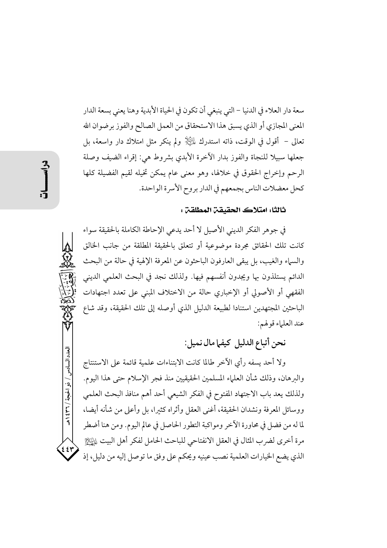سعة دار العلاء في الدنيا – التي ينبغي أن تكون في الحياة الأبدية وهنا يعني بسعة الدار المعنى المجازي أو الذي يسبق هذا الاستحقاق من العمل الصالح والفوز برضوان الله تعالى – أقول في الوقت، ذاته استدرك لِمُكِيْلٍا ولم ينكر مثل امتلاك دار واسعة، بل جعلها سبيلا للنجاة والفوز بدار الأخرة الأبدى بشروط هي: إقراء الضيف وصلة الرحم وإخراج الحقوق في خلالها، وهو معنى عام يمكن تخيله لقيم الفضيلة كلها كحل معضلات الناس بجمعهم في الدار بروح الأسرة الواحدة.

### ثالثا: امتلاك الحقيقة المطلقة :

في جوهر الفكر الديني الأصيل لا أحد يدعى الإحاطة الكاملة بالحقيقة سواء كانت تلك الحقائق مجردة موضوعية أو تتعلق بالحقيقة المطلقة من جانب الخالق والسباء والغيب، بل يبقى العارفون الباحثون عن المعرفة الإلهية في حالة من البحث الدائم يستلذون بها ويجدون أنفسهم فيها. ولذلك نجد في البحث العلمي الديني الفقهي أو الأصولي أو الإخباري حالة من الاختلاف المبنى على تعدد اجتهادات الباحثين المجتهدين استنادا لطبيعة الدليل الذي أوصله إلى تلك الحقيقة، وقد شاع عند العلياء قو لهم:

نحن أتباع الدليل كيفها مال نميل:

ولا أحد يسفه رأى الآخر طالما كانت الابتناءات علمية قائمة على الاستنتاج والبرهان، وذلك شأن العلماء المسلمين الحقيقيين منذ فجر الإسلام حتى هذا اليوم. ولذلك يعد باب الاجتهاد المفتوح في الفكر الشيعي أحد أهم منافذ البحث العلمي ووسائل المعرفة ونشدان الحقيقة، أغني العقل وأثراه كثيرا، بل وأعلى من شأنه أيضا، لما له من فضل في محاورة الآخر ومواكبة التطور الحاصل في عالم اليوم. ومن هنا أضطر مرة أخرى لضرب المثال في العقل الانفتاحي للباحث الحامل لفكر أهل البيت لِلدَّيِّلِ الذي يضع الخيارات العلمية نصب عينيه ويحكم على وفق ما توصل إليه من دليل، إذ

العدد السادس / ذو الحبجة / ٣٦ \ هـ

٤٤٢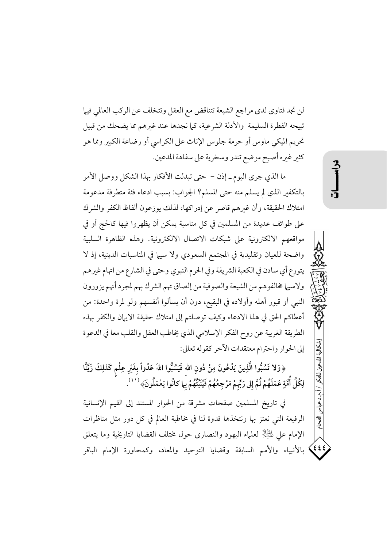لن تجد فتاوى لدى مراجع الشيعة تتناقض مع العقل وتتخلف عن الركب العالمي فيها تبيحه الفطرة السليمة والأدلة الشرعية، كما نجدها عند غيرهم مما يضحك من قبيل تحريم الميكي ماوس أو حرمة جلوس الإناث على الكراسي أو رضاعة الكبير ومما هو كثير غيره أصبح موضع تندر وسخرية على سفاهة المدعين.

ما الذي جرى اليوم ــ إذن – حتى تبدلت الأفكار بهذا الشكل ووصل الأمر بالتكفير الذي لم يسلم منه حتى المسلم؟ الجواب: بسبب ادعاء فئة متطرفة مدعومة امتلاك الحقيقة، وأن غيرهم قاصر عن إدراكها، لذلك يوزعون ألفاظ الكفر والشرك على طوائف عديدة من المسلمين في كل مناسبة يمكن أن يظهروا فيها كالحج أو في مواقعهم الالكترونية على شبكات الاتصال الالكترونية. وهذه الظاهرة السلبية واضحة للعيان وتقليدية في المجتمع السعودي ولا سيها في المناسبات الدينية، إذ لا يتورع أي سادن في الكعبة الشريفة وفي الحرم النبوي وحتى في الشارع من اتهام غيرهم ولاسيها مخالفوهم من الشيعة والصوفية من إلصاق تهم الشرك بهم لمجرد أنهم يزورون النبي أو قبور أهله وأولاده في البقيع، دون أن يسألوا أنفسهم ولو لمرة واحدة: من أعطاكم الحق في هذا الادعاء وكيف توصلتم إلى امتلاك حقيقة الايهان والكفر بهذه الطريقة الغريبة عن روح الفكر الإسلامي الذي يخاطب العقل والقلب معا في الدعوة إلى الحوار واحترام معتقدات الآخر كقوله تعالى:

﴿وَلا تَسُبُّوا الَّذِينَ يَدْعُونَ مِنْ دُونِ اللهِ فَيَسُبُّوا اللهَ عَدْواً بِغَيْرِ عِلْمٍ كَذلِكَ زَيَّنَّا لِكُلِّ أُمَّةٍ عَمَلَهُمْ ثُمَّ إِلى رَبِّهمْ مَرْجِعُهُمْ فَيُنَبِّّهُمْ بِمَا كانُوا يَعْمَلُونَ﴾ <sup>(١١)</sup>.

في تاريخ المسلمين صفحات مشرقة من الحوار المستند إلى القيم الإنسانية الرفيعة التي نعتز بها ونتخذها قدوة لنا في مخاطبة العالم في كل دور مثل مناظرات الإمام على لِمَائِيَالٍا لعلماء اليهود والنصارى حول مختلف القضايا التاريخية وما يتعلق بالأنبياء والأمم السابقة وقضايا التوحيد والمعاد، وكمحاورة الإمام الباقر شكالية الدعين للفكم

. ا. م.د عباسر

آويني

 $\left\{ \epsilon\epsilon\right\}$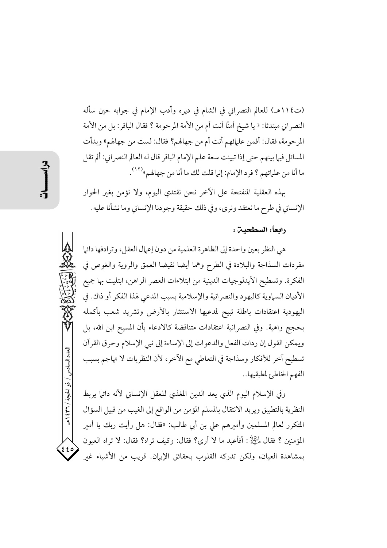(ت١١٤هـ) للعالم النصراني في الشام في ديرِه وأدب الإمام في جوابه حين سأله النصراني مبتدئا: « يا شيخ أمنّا أنت أم من الأمة المرحومة ؟ فقال الباقر: بل من الأمة المرحومة، فقال: أفمن علمائهم أنت أم من جهالهم؟ فقال: لست من جهالهم» وبدأت المسائل فيها بينهم حتى إذا تبينت سعة علم الإمام الباقر قال له العالم النصراني: ألم تقل ما أنا من علمائهم ؟ فرد الإمام: إنها قلت لك ما أنا من جهالهم»<sup>(١٢)</sup>.

بهذه العقلية المنفتحة على الآخر نحن نقتدى اليوم، ولا نؤمن بغير الحوار الإنساني في طرح ما نعتقد ونرى، وفي ذلك حقيقة وجودنا الإنساني وما نشأنا عليه.

#### رابعاً: السطحيـن :

هي النظر بعين واحدة إلى الظاهرة العلمية من دون إعمال العقل، وترادفها دائها مفردات السذاجة والبلادة في الطرح وهما أيضا نقيضا العمق والروية والغوص في الفكرة. وتسطيح الأيدلوجيات الدينية من ابتلاءات العصر الراهن، ابتليت بها جميع الأديان السماوية كاليهود والنصر انية والإسلامية بسبب المدعى لهذا الفكر أو ذاك. في اليهودية اعتقادات باطلة تبيح لمدعيها الاستئثار بالأرض وتشريد شعب بأكمله بحجج واهية. وفي النصرانية اعتقادات متناقضة كالادعاء بأن المسيح ابن الله، بل ويمكن القول إن ردات الفعل والدعوات إلى الإساءة إلى نبي الإسلام وحرق القرآن تسطيح آخر للأفكار وسذاجة في التعاطي مع الآخر، لأن النظريات لا تهاجم بسبب الفهم الخاطئ لمطبقيها..

وفي الإسلام اليوم الذي يعد الدين المغذى للعقل الإنساني لأنه دائها يربط النظرية بالتطبيق ويريد الانتقال بالمسلم المؤمن من الواقع إلى الغيب من قبيل السؤال المتكرر لعالم المسلمين وأميرهم على بن أبي طالب: «فقال: هل رأيت ربك يا أمير المؤمنين ؟ فقال لِمَائِلِيٍّ : أفأعبد ما لا أرى؟ فقال: وكيف تراه؟ فقال: لا تراه العيون بمشاهدة العيان، ولكن تدركه القلوب بحقائق الإيهان. قريب من الأشياء غبر

العدد السادس / ذو الحجة / ٣٦٦ هـ

 $rac{2}{3}$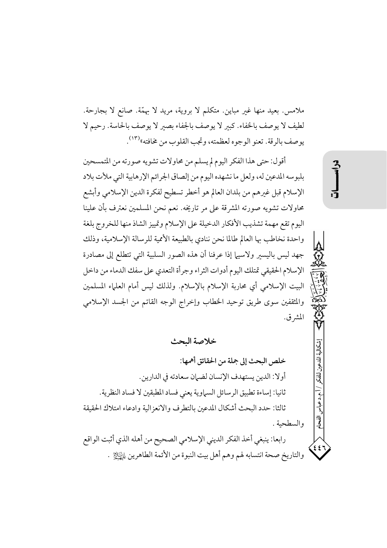ملامس. بعيد منها غير مباين. متكلَّم لا بروية، مريد لا بهمَّة. صانع لا بجارحة. لطيف لا يوصف بالخفاء. كبير لا يوصف بالجفاء بصير لا يوصف بالحاسة. رحيم لا يوصف بالرقة. تعنو الوجوه لعظمته، وتجب القلوب من مخافته»<sup>(١٣)</sup>.

أقول: حتى هذا الفكر اليوم لم يسلم من محاولات تشويه صورته من المتمسحين بلبوسه المدعين له، ولعل ما نشهده اليوم من إلصاق الجرائم الإرهابية التي ملأت بلاد الإسلام قبل غيرهم من بلدان العالم هو أخطر تسطيح لفكرة الدين الإسلامي وأبشع محاولات تشويه صورته المشرقة على مر تاريخه. نعم نحن المسلمين نعترف بأن علينا اليوم تقع مهمة تشذيب الأفكار الدخيلة على الإسلام وتمييز الشاذ منها للخروج بلغة واحدة نخاطب بها العالم طالما نحن ننادي بالطبيعة الأممية للرسالة الإسلامية، وذلك جهد ليس باليسير ولاسيها إذا عرفنا أن هذه الصور السلبية التي تتطلع إلى مصادرة الإسلام الحقيقي تمتلك اليوم أدوات الثراء وجرأة التعدي على سفك الدماء من داخل البيت الإسلامي أي محاربة الإسلام بالإسلام. ولذلك ليس أمام العلماء المسلمين والمثقفين سوى طريق توحيد الخطاب وإخراج الوجه القاتم من الجسد الإسلامي المشرق.

خلاصة البحث

خلص البحث إلى جملة من الحقائق أهمها: أولا: الدين يستهدف الإنسان لضيان سعادته في الدارين. ثانيا: إساءة تطبيق الرسائل السماوية يعني فساد المطبقين لا فساد النظرية. ثالثا: حدد البحث أشكال المدعين بالتطرف والانعزالية وادعاء امتلاك الحقيقة والسطحية . رابعا: ينبغي أخذ الفكر الديني الإسلامي الصحيح من أهله الذي أثبت الواقع والتاريخ صحة انتسابه لهم وهم أهل بيت النبوة من الأئمة الطاهرين لِمِبْتِلِيْنِ .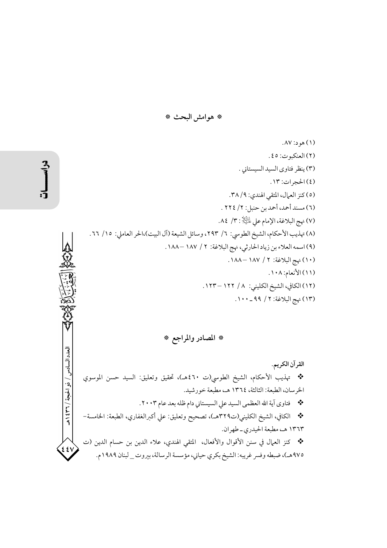\* هوامش البحث \*

(۱) هو د: ۸۷. (٢) العنكبوت: ٤٥. (٣) ينظر فتاوى السيد السيستاني . (٤) الحجرات: ١٣. (٥) كنز العمال، المتقى الهندي: ٢٨/٩. (٦) مسند أحمد، أحمد بن حنبل: ٢/ ٢٢٤ . (٧) نهج البلاغة، الإمام على مليَّالٍا : ٣/ ٨٤. (٨) تهذيب الأحكام، الشيخ الطوسي: ٦/ ٢٩٣، وسائل الشيعة (آل البيت)،الحر العاملي: ١٥/ ٦٦. (٩) اسمه العلاء بن زياد الحارثي، نهج البلاغة: ٢ / ١٨٧ –١٨٨. (١٠) نهج البلاغة: ٢ / ١٨٧ –١٨٨. (١١)الأنعام: ١٠٨. (١٢) الكافي، الشيخ الكليني: ١/ ١٢٢ – ١٢٣. (١٣) نهج البلاغة: ٢ / ٩٩ ـ ١٠٠.

\* المصادر والمراجع \*

العدد السادس / ذو الحجة / ٣٦ / ٤٣٩ القرآن الكريم. \* تهذيب الأحكام، الشيخ الطوسي(ت ٤٦٠هـ)، تحقيق وتعليق: السيد حسن الموسوي الخرسان، الطبعة: الثالثة، ١٣٦٤ هـ، مطبعة خورشيد. \*\* فتاوى آية الله العظمى السيد على السيستاني دام ظله بعد عام ٢٠٠٣. \* الكافي، الشيخ الكليني(ت٣٢٩هـ)، تصحيح وتعليق: علي أكبرالغفاري، الطبعة: الخامسة– ١٣٦٣ هـ، مطبعة الحيدري ـ طهران. \* كنز العمال في سنن الأقوال والأفعال، المتقي الهندي، علاء الدين بن حسام الدين (ت ٤٤١ ٩٧٥هـ)، ضبطه وفسر غريبه: الشيخ بكري حياني، مؤسسة الرسالة، بيروت \_ لبنان ١٩٨٩م.